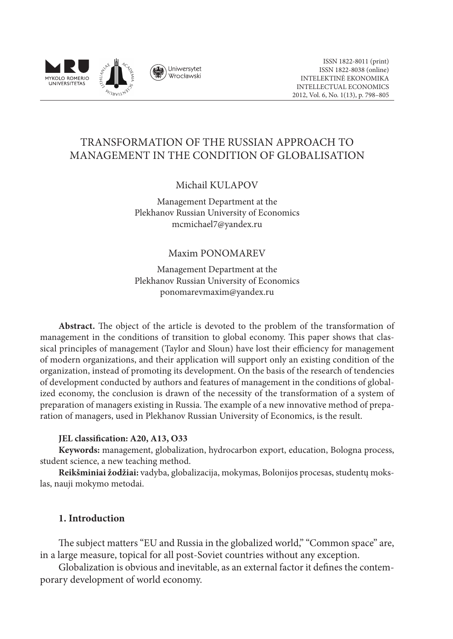

# TRANSFORMATION OF THE RUSSIAN APPROACH TO MANAGEMENT IN THE CONDITION OF GLOBALISATION

## Michail KULAPOV

Management Department at the Plekhanov Russian University of Economics mcmichael7@yandex.ru

### Maxim PONOMAREV

Management Department at the Plekhanov Russian University of Economics ponomarevmaxim@yandex.ru

**Abstract.** The object of the article is devoted to the problem of the transformation of management in the conditions of transition to global economy. This paper shows that classical principles of management (Taylor and Sloun) have lost their efficiency for management of modern organizations, and their application will support only an existing condition of the organization, instead of promoting its development. On the basis of the research of tendencies of development conducted by authors and features of management in the conditions of globalized economy, the conclusion is drawn of the necessity of the transformation of a system of preparation of managers existing in Russia. The example of a new innovative method of preparation of managers, used in Plekhanov Russian University of Economics, is the result.

#### **JEL classification: A20, A13, O33**

**Keywords:** management, globalization, hydrocarbon export, education, Bologna process, student science, a new teaching method.

**Reikšminiai žodžiai:** vadyba, globalizacija, mokymas, Bolonijos procesas, studentų mokslas, nauji mokymo metodai.

### **1. Introduction**

The subject matters "EU and Russia in the globalized world," "Common space" are, in a large measure, topical for all post-Soviet countries without any exception.

Globalization is obvious and inevitable, as an external factor it defines the contemporary development of world economy.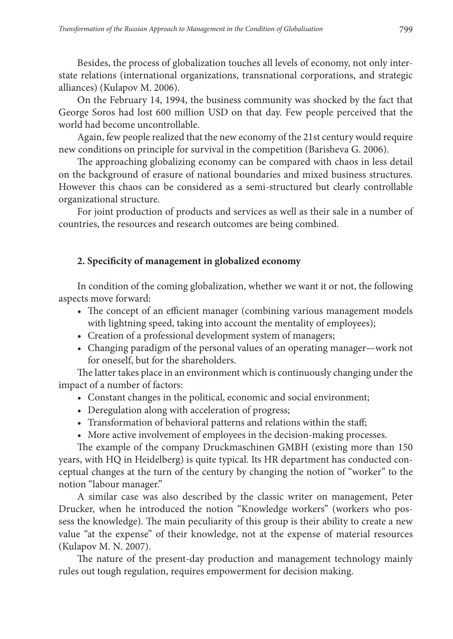Besides, the process of globalization touches all levels of economy, not only interstate relations (international organizations, transnational corporations, and strategic alliances) (Kulapov M. 2006).

On the February 14, 1994, the business community was shocked by the fact that George Soros had lost 600 million USD on that day. Few people perceived that the world had become uncontrollable.

Again, few people realized that the new economy of the 21st century would require new conditions on principle for survival in the competition (Barisheva G. 2006).

The approaching globalizing economy can be compared with chaos in less detail on the background of erasure of national boundaries and mixed business structures. However this chaos can be considered as a semi-structured but clearly controllable organizational structure.

For joint production of products and services as well as their sale in a number of countries, the resources and research outcomes are being combined.

### **2. Specificity of management in globalized economy**

In condition of the coming globalization, whether we want it or not, the following aspects move forward:

- The concept of an efficient manager (combining various management models with lightning speed, taking into account the mentality of employees);
- Creation of a professional development system of managers;
- Changing paradigm of the personal values of an operating manager—work not for oneself, but for the shareholders.

The latter takes place in an environment which is continuously changing under the impact of a number of factors:

- Constant changes in the political, economic and social environment;
- Deregulation along with acceleration of progress;
- Transformation of behavioral patterns and relations within the staff;
- More active involvement of employees in the decision-making processes.

The example of the company Druckmaschinen GMBH (existing more than 150 years, with HQ in Heidelberg) is quite typical. Its HR department has conducted conceptual changes at the turn of the century by changing the notion of "worker" to the notion "labour manager."

A similar case was also described by the classic writer on management, Peter Drucker, when he introduced the notion "Knowledge workers" (workers who possess the knowledge). The main peculiarity of this group is their ability to create a new value "at the expense" of their knowledge, not at the expense of material resources (Kulapov M. N. 2007).

The nature of the present-day production and management technology mainly rules out tough regulation, requires empowerment for decision making.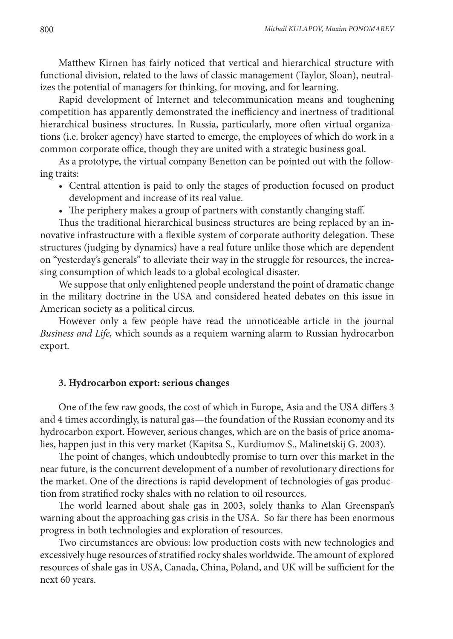Matthew Kirnen has fairly noticed that vertical and hierarchical structure with functional division, related to the laws of classic management (Taylor, Sloan), neutralizes the potential of managers for thinking, for moving, and for learning.

Rapid development of Internet and telecommunication means and toughening competition has apparently demonstrated the inefficiency and inertness of traditional hierarchical business structures. In Russia, particularly, more often virtual organizations (i.e. broker agency) have started to emerge, the employees of which do work in a common corporate office, though they are united with a strategic business goal.

As a prototype, the virtual company Benetton can be pointed out with the following traits:

- Central attention is paid to only the stages of production focused on product development and increase of its real value.
- The periphery makes a group of partners with constantly changing staff.

Thus the traditional hierarchical business structures are being replaced by an innovative infrastructure with a flexible system of corporate authority delegation. These structures (judging by dynamics) have a real future unlike those which are dependent on "yesterday's generals" to alleviate their way in the struggle for resources, the increasing consumption of which leads to a global ecological disaster.

We suppose that only enlightened people understand the point of dramatic change in the military doctrine in the USA and considered heated debates on this issue in American society as a political circus.

However only a few people have read the unnoticeable article in the journal *Business and Life,* which sounds as a requiem warning alarm to Russian hydrocarbon export.

#### **3. Hydrocarbon export: serious changes**

One of the few raw goods, the cost of which in Europe, Asia and the USA differs 3 and 4 times accordingly, is natural gas—the foundation of the Russian economy and its hydrocarbon export. However, serious changes, which are on the basis of price anomalies, happen just in this very market (Kapitsa S., Kurdiumov S., Malinetskij G. 2003).

The point of changes, which undoubtedly promise to turn over this market in the near future, is the concurrent development of a number of revolutionary directions for the market. One of the directions is rapid development of technologies of gas production from stratified rocky shales with no relation to oil resources.

The world learned about shale gas in 2003, solely thanks to Alan Greenspan's warning about the approaching gas crisis in the USA. So far there has been enormous progress in both technologies and exploration of resources.

Two circumstances are obvious: low production costs with new technologies and excessively huge resources of stratified rocky shales worldwide. The amount of explored resources of shale gas in USA, Canada, China, Poland, and UK will be sufficient for the next 60 years.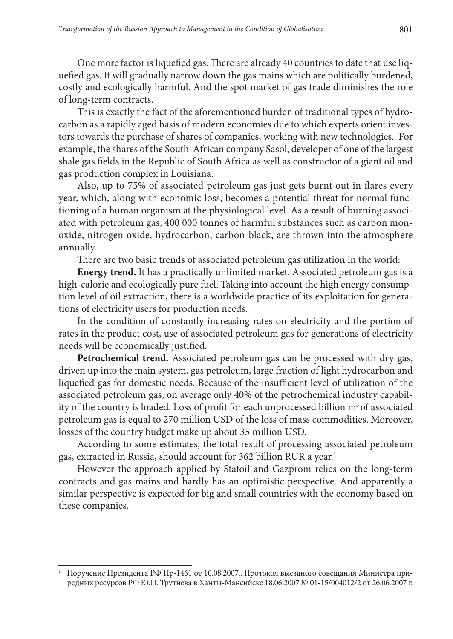One more factor is liquefied gas. There are already 40 countries to date that use liquefied gas. It will gradually narrow down the gas mains which are politically burdened, costly and ecologically harmful. And the spot market of gas trade diminishes the role of long-term contracts.

This is exactly the fact of the aforementioned burden of traditional types of hydrocarbon as a rapidly aged basis of modern economies due to which experts orient investors towards the purchase of shares of companies, working with new technologies. For example, the shares of the South-African company Sasol, developer of one of the largest shale gas fields in the Republic of South Africa as well as constructor of a giant oil and gas production complex in Louisiana.

Also, up to 75% of associated petroleum gas just gets burnt out in flares every year, which, along with economic loss, becomes a potential threat for normal functioning of a human organism at the physiological level. As a result of burning associated with petroleum gas, 400 000 tonnes of harmful substances such as carbon monoxide, nitrogen oxide, hydrocarbon, carbon-black, are thrown into the atmosphere annually.

There are two basic trends of associated petroleum gas utilization in the world:

**Energy trend.** It has a practically unlimited market. Associated petroleum gas is a high-calorie and ecologically pure fuel. Taking into account the high energy consumption level of oil extraction, there is a worldwide practice of its exploitation for generations of electricity users for production needs.

In the condition of constantly increasing rates on electricity and the portion of rates in the product cost, use of associated petroleum gas for generations of electricity needs will be economically justified.

**Petrochemical trend.** Associated petroleum gas can be processed with dry gas, driven up into the main system, gas petroleum, large fraction of light hydrocarbon and liquefied gas for domestic needs. Because of the insufficient level of utilization of the associated petroleum gas, on average only 40% of the petrochemical industry capability of the country is loaded. Loss of profit for each unprocessed billion m<sup>3</sup> of associated petroleum gas is equal to 270 million USD of the loss of mass commodities. Moreover, losses of the country budget make up about 35 million USD.

According to some estimates, the total result of processing associated petroleum gas, extracted in Russia, should account for 362 billion RUR a year.<sup>1</sup>

However the approach applied by Statoil and Gazprom relies on the long-term contracts and gas mains and hardly has an optimistic perspective. And apparently a similar perspective is expected for big and small countries with the economy based on these companies.

<sup>1</sup> Поручение Президента РФ Пр-1461 от 10.08.2007., Протокол выездного совещания Министра природных ресурсов РФ Ю.П. Трутнева в Ханты-Мансийске 18.06.2007 № 01-15/004012/2 от 26.06.2007 г.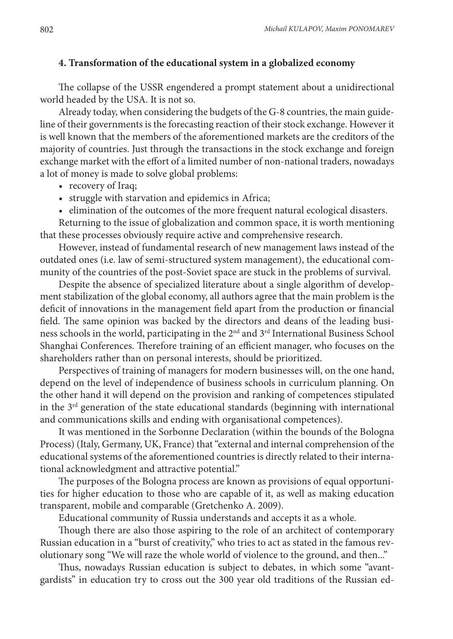#### **4. Transformation of the educational system in a globalized economy**

The collapse of the USSR engendered a prompt statement about a unidirectional world headed by the USA. It is not so.

Already today, when considering the budgets of the G-8 countries, the main guideline of their governments is the forecasting reaction of their stock exchange. However it is well known that the members of the aforementioned markets are the creditors of the majority of countries. Just through the transactions in the stock exchange and foreign exchange market with the effort of a limited number of non-national traders, nowadays a lot of money is made to solve global problems:

- recovery of Iraq;
- struggle with starvation and epidemics in Africa;
- elimination of the outcomes of the more frequent natural ecological disasters.

Returning to the issue of globalization and common space, it is worth mentioning that these processes obviously require active and comprehensive research.

However, instead of fundamental research of new management laws instead of the outdated ones (i.e. law of semi-structured system management), the educational community of the countries of the post-Soviet space are stuck in the problems of survival.

Despite the absence of specialized literature about a single algorithm of development stabilization of the global economy, all authors agree that the main problem is the deficit of innovations in the management field apart from the production or financial field. The same opinion was backed by the directors and deans of the leading business schools in the world, participating in the 2nd and 3rd International Business School Shanghai Conferences. Therefore training of an efficient manager, who focuses on the shareholders rather than on personal interests, should be prioritized.

Perspectives of training of managers for modern businesses will, on the one hand, depend on the level of independence of business schools in curriculum planning. On the other hand it will depend on the provision and ranking of competences stipulated in the  $3<sup>rd</sup>$  generation of the state educational standards (beginning with international and communications skills and ending with organisational competences).

It was mentioned in the Sorbonne Declaration (within the bounds of the Bologna Process) (Italy, Germany, UK, France) that "external and internal comprehension of the educational systems of the aforementioned countries is directly related to their international acknowledgment and attractive potential."

The purposes of the Bologna process are known as provisions of equal opportunities for higher education to those who are capable of it, as well as making education transparent, mobile and comparable (Gretchenko A. 2009).

Educational community of Russia understands and accepts it as a whole.

Though there are also those aspiring to the role of an architect of contemporary Russian education in a "burst of creativity," who tries to act as stated in the famous revolutionary song "We will raze the whole world of violence to the ground, and then..."

Thus, nowadays Russian education is subject to debates, in which some "avantgardists" in education try to cross out the 300 year old traditions of the Russian ed-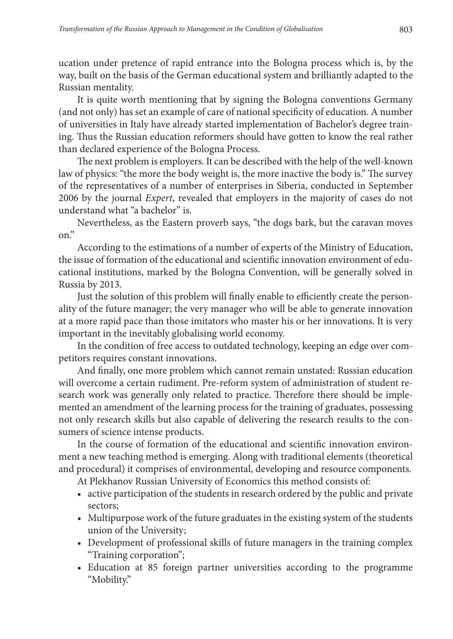ucation under pretence of rapid entrance into the Bologna process which is, by the way, built on the basis of the German educational system and brilliantly adapted to the Russian mentality.

It is quite worth mentioning that by signing the Bologna conventions Germany (and not only) has set an example of care of national specificity of education. A number of universities in Italy have already started implementation of Bachelor's degree training. Thus the Russian education reformers should have gotten to know the real rather than declared experience of the Bologna Process.

The next problem is employers. It can be described with the help of the well-known law of physics: "the more the body weight is, the more inactive the body is." The survey of the representatives of a number of enterprises in Siberia, conducted in September 2006 by the journal *Expert*, revealed that employers in the majority of cases do not understand what "a bachelor" is.

Nevertheless, as the Eastern proverb says, "the dogs bark, but the caravan moves on."

According to the estimations of a number of experts of the Ministry of Education, the issue of formation of the educational and scientific innovation environment of educational institutions, marked by the Bologna Convention, will be generally solved in Russia by 2013.

Just the solution of this problem will finally enable to efficiently create the personality of the future manager; the very manager who will be able to generate innovation at a more rapid pace than those imitators who master his or her innovations. It is very important in the inevitably globalising world economy.

In the condition of free access to outdated technology, keeping an edge over competitors requires constant innovations.

And finally, one more problem which cannot remain unstated: Russian education will overcome a certain rudiment. Pre-reform system of administration of student research work was generally only related to practice. Therefore there should be implemented an amendment of the learning process for the training of graduates, possessing not only research skills but also capable of delivering the research results to the consumers of science intense products.

In the course of formation of the educational and scientific innovation environment a new teaching method is emerging. Along with traditional elements (theoretical and procedural) it comprises of environmental, developing and resource components.

At Plekhanov Russian University of Economics this method consists of:

- active participation of the students in research ordered by the public and private sectors;
- Multipurpose work of the future graduates in the existing system of the students union of the University;
- Development of professional skills of future managers in the training complex "Training corporation";
- Education at 85 foreign partner universities according to the programme "Mobility."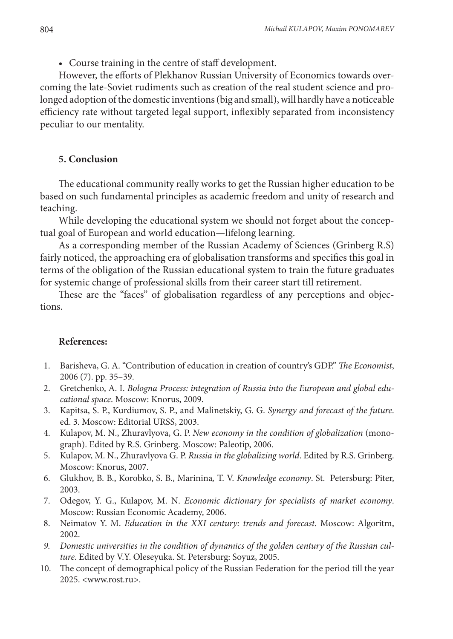• Course training in the centre of staff development.

However, the efforts of Plekhanov Russian University of Economics towards overcoming the late-Soviet rudiments such as creation of the real student science and prolonged adoption of the domestic inventions (big and small), will hardly have a noticeable efficiency rate without targeted legal support, inflexibly separated from inconsistency peculiar to our mentality.

#### **5. Conclusion**

The educational community really works to get the Russian higher education to be based on such fundamental principles as academic freedom and unity of research and teaching.

While developing the educational system we should not forget about the conceptual goal of European and world education—lifelong learning.

As a corresponding member of the Russian Academy of Sciences (Grinberg R.S) fairly noticed, the approaching era of globalisation transforms and specifies this goal in terms of the obligation of the Russian educational system to train the future graduates for systemic change of professional skills from their career start till retirement.

These are the "faces" of globalisation regardless of any perceptions and objections.

#### **References:**

- 1. Barisheva, G. A. "Contribution of education in creation of country's GDP." *The Economist*, 2006 (7). pp. 35–39.
- 2. Gretchenko, A. I. *Bologna Process: integration of Russia into the European and global educational space*. Moscow: Knorus, 2009.
- 3. Kapitsa, S. P., Kurdiumov, S. P., and Malinetskiy, G. G. *Synergy and forecast of the future*. ed. 3. Moscow: Editorial URSS, 2003.
- 4. Kulapov, М. N., Zhuravlyova, G. P. *New economy in the condition of globalization* (monograph). Edited by R.S. Grinberg. Мoscow: Paleotip, 2006.
- 5. Kulapov, М. N., Zhuravlyova G. P. *Russia in the globalizing world*. Edited by R.S. Grinberg. Мoscow: Knorus, 2007.
- 6. Glukhov, B. B., Korobko, S. B., Marinina*,* T. V. *Knowledge economy*. St. Petersburg: Piter, 2003.
- 7. Odegov, Y. G., Kulapov, M. N. *Economic dictionary for specialists of market economy*. Moscow: Russian Economic Academy, 2006.
- 8. Neimatov Y. M. *Education in the ХХI century: trends and forecast*. Moscow: Algoritm, 2002.
- *9. Domestic universities in the condition of dynamics of the golden century of the Russian culture*. Edited by V.Y. Oleseyuka. St. Petersburg: Soyuz, 2005.
- 10. The concept of demographical policy of the Russian Federation for the period till the year 2025. <www.rost.ru>.